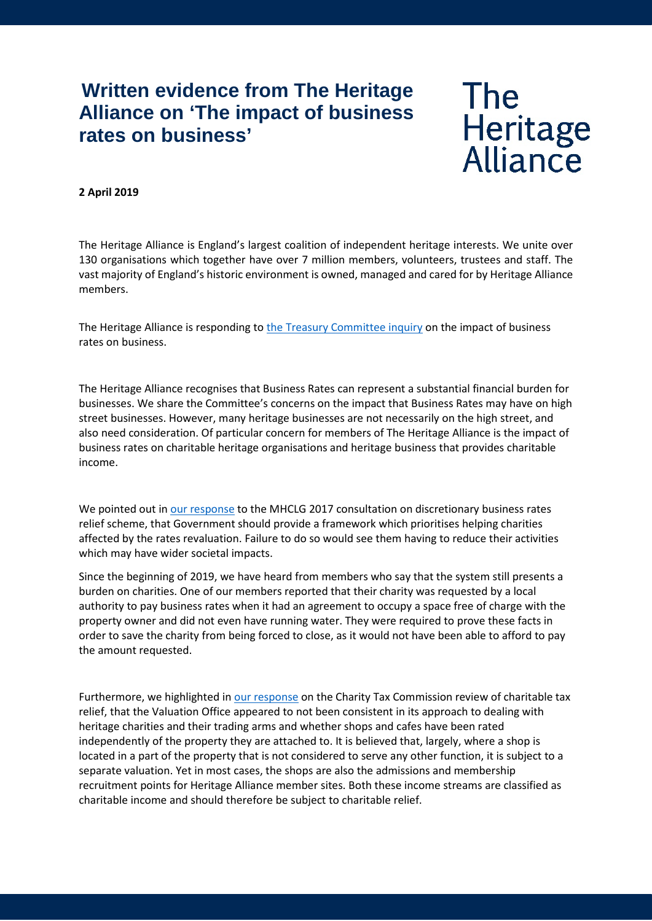## **Written evidence from The Heritage Alliance on 'The impact of business rates on business'**

## **The** Heritage<br>Alliance

## **2 April 2019**

The Heritage Alliance is England's largest coalition of independent heritage interests. We unite over 130 organisations which together have over 7 million members, volunteers, trustees and staff. The vast majority of England's historic environment is owned, managed and cared for by Heritage Alliance members.

The Heritage Alliance is responding to [the Treasury Committee inquiry](https://www.parliament.uk/business/committees/committees-a-z/commons-select/treasury-committee/inquiries1/parliament-2017/inquiry3/) on the impact of business rates on business.

The Heritage Alliance recognises that Business Rates can represent a substantial financial burden for businesses. We share the Committee's concerns on the impact that Business Rates may have on high street businesses. However, many heritage businesses are not necessarily on the high street, and also need consideration. Of particular concern for members of The Heritage Alliance is the impact of business rates on charitable heritage organisations and heritage business that provides charitable income.

We pointed out i[n our response](https://www.theheritagealliance.org.uk/tha-website/wp-content/uploads/2017/04/Heritage-Alliance-business-rates-consultation-response-1.pdf) to the MHCLG 2017 consultation on discretionary business rates relief scheme, that Government should provide a framework which prioritises helping charities affected by the rates revaluation. Failure to do so would see them having to reduce their activities which may have wider societal impacts.

Since the beginning of 2019, we have heard from members who say that the system still presents a burden on charities. One of our members reported that their charity was requested by a local authority to pay business rates when it had an agreement to occupy a space free of charge with the property owner and did not even have running water. They were required to prove these facts in order to save the charity from being forced to close, as it would not have been able to afford to pay the amount requested.

Furthermore, we highlighted in [our response](https://www.theheritagealliance.org.uk/tha-website/wp-content/uploads/2018/08/CHARITY-TAX-COMMISSION-CALL-FOR-EVIDENCE.docx) on the Charity Tax Commission review of charitable tax relief, that the Valuation Office appeared to not been consistent in its approach to dealing with heritage charities and their trading arms and whether shops and cafes have been rated independently of the property they are attached to. It is believed that, largely, where a shop is located in a part of the property that is not considered to serve any other function, it is subject to a separate valuation. Yet in most cases, the shops are also the admissions and membership recruitment points for Heritage Alliance member sites. Both these income streams are classified as charitable income and should therefore be subject to charitable relief.